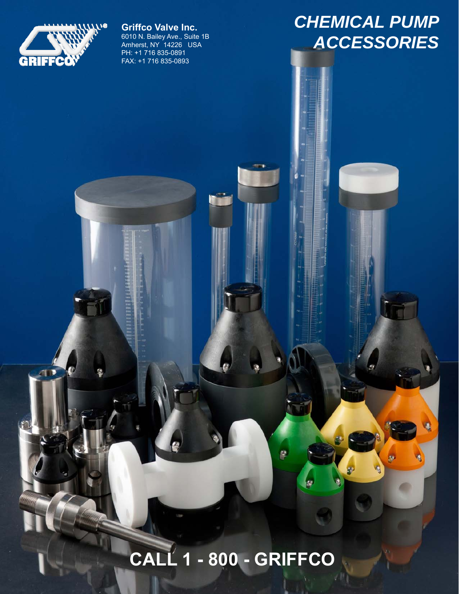

 $\overline{\phantom{a}}$ 

**Griffco Valve Inc.** 6010 N. Bailey Ave., Suite 1B Amherst, NY 14226 USA PH: +1 716 835-0891 FAX: +1 716 835-0893

## *CHEMICAL PUMP ACCESSORIES*

# **CALL 1 - 800 - GRIFFCO**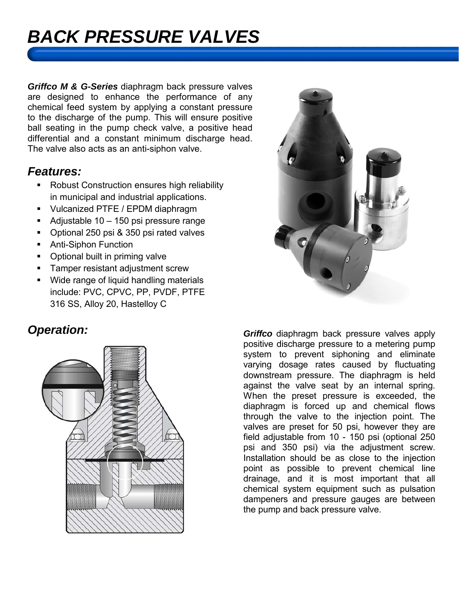## *BACK PRESSURE VALVES*

*Griffco M & G-Series* diaphragm back pressure valves are designed to enhance the performance of any chemical feed system by applying a constant pressure to the discharge of the pump. This will ensure positive ball seating in the pump check valve, a positive head differential and a constant minimum discharge head. The valve also acts as an anti-siphon valve.

#### *Features:*

- **Robust Construction ensures high reliability** in municipal and industrial applications.
- Vulcanized PTFE / EPDM diaphragm
- Adjustable  $10 150$  psi pressure range
- Optional 250 psi & 350 psi rated valves
- **Anti-Siphon Function**
- Optional built in priming valve
- **Tamper resistant adjustment screw**
- **Wide range of liquid handling materials** include: PVC, CPVC, PP, PVDF, PTFE 316 SS, Alloy 20, Hastelloy C





**Operation:** Come Constanting Constanting Constanting Constanting Constanting Constanting Constanting Constanting Constanting Constanting Constanting Constanting Constanting Constanting Constanting Constanting Constanting positive discharge pressure to a metering pump system to prevent siphoning and eliminate varying dosage rates caused by fluctuating downstream pressure. The diaphragm is held against the valve seat by an internal spring. When the preset pressure is exceeded, the diaphragm is forced up and chemical flows through the valve to the injection point. The valves are preset for 50 psi, however they are field adjustable from 10 - 150 psi (optional 250 psi and 350 psi) via the adjustment screw. Installation should be as close to the injection point as possible to prevent chemical line drainage, and it is most important that all chemical system equipment such as pulsation dampeners and pressure gauges are between the pump and back pressure valve.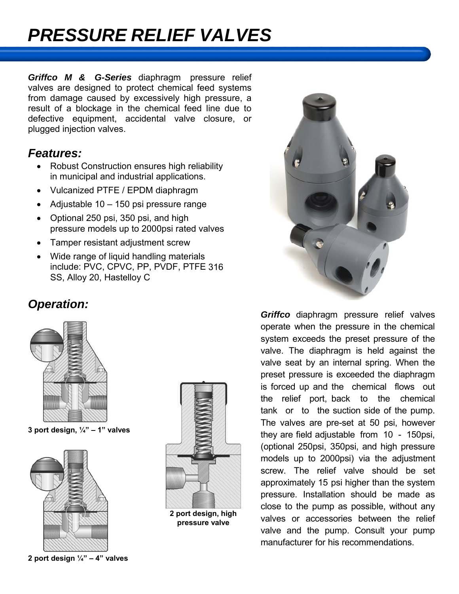## *PRESSURE RELIEF VALVES*

*Griffco M & G-Series* diaphragm pressure relief valves are designed to protect chemical feed systems from damage caused by excessively high pressure, a result of a blockage in the chemical feed line due to defective equipment, accidental valve closure, or plugged injection valves.

#### *Features:*

- Robust Construction ensures high reliability in municipal and industrial applications.
- Vulcanized PTFE / EPDM diaphragm
- Adjustable 10 150 psi pressure range
- Optional 250 psi, 350 psi, and high pressure models up to 2000psi rated valves
- Tamper resistant adjustment screw
- Wide range of liquid handling materials include: PVC, CPVC, PP, PVDF, PTFE 316 SS, Alloy 20, Hastelloy C

### *Operation:*



**3 port design, ¼" – 1" valves**



**2 port design ¼" – 4" valves**



**2 port design, high pressure valve**



*Griffco* diaphragm pressure relief valves operate when the pressure in the chemical system exceeds the preset pressure of the valve. The diaphragm is held against the valve seat by an internal spring. When the preset pressure is exceeded the diaphragm is forced up and the chemical flows out the relief port, back to the chemical tank or to the suction side of the pump. The valves are pre-set at 50 psi, however they are field adjustable from 10 - 150psi, (optional 250psi, 350psi, and high pressure models up to 2000psi) via the adjustment screw. The relief valve should be set approximately 15 psi higher than the system pressure. Installation should be made as close to the pump as possible, without any valves or accessories between the relief valve and the pump. Consult your pump manufacturer for his recommendations.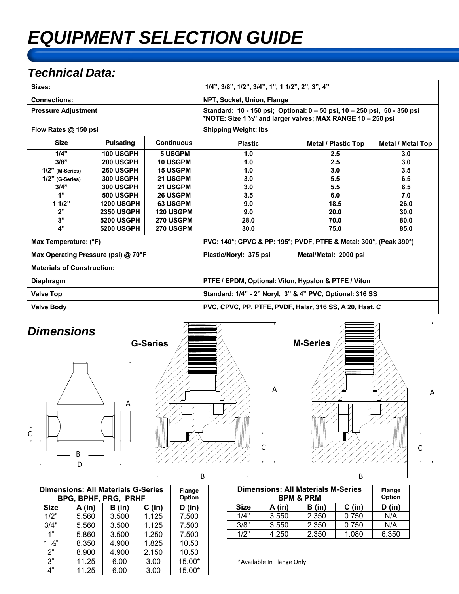## *EQUIPMENT SELECTION GUIDE*

### *Technical Data:*

| Sizes:                              |                   |                   | $1/4$ ", $3/8$ ", $1/2$ ", $3/4$ ", $1$ ", $1 1/2$ ", $2$ ", $3$ ", $4$ "                                                                |                            |                   |  |
|-------------------------------------|-------------------|-------------------|------------------------------------------------------------------------------------------------------------------------------------------|----------------------------|-------------------|--|
| <b>Connections:</b>                 |                   |                   | NPT, Socket, Union, Flange                                                                                                               |                            |                   |  |
| <b>Pressure Adjustment</b>          |                   |                   | Standard: 10 - 150 psi; Optional: 0 - 50 psi, 10 - 250 psi, 50 - 350 psi<br>*NOTE: Size 1 1/2" and larger valves; MAX RANGE 10 - 250 psi |                            |                   |  |
| Flow Rates @ 150 psi                |                   |                   | <b>Shipping Weight: Ibs</b>                                                                                                              |                            |                   |  |
| <b>Size</b>                         | <b>Pulsating</b>  | <b>Continuous</b> | <b>Plastic</b>                                                                                                                           | <b>Metal / Plastic Top</b> | Metal / Metal Top |  |
| 1/4"                                | <b>100 USGPH</b>  | <b>5 USGPM</b>    | 1.0                                                                                                                                      | 2.5                        | 3.0               |  |
| 3/8"                                | 200 USGPH         | <b>10 USGPM</b>   | 1.0                                                                                                                                      | 2.5                        | 3.0               |  |
| $1/2"$ (M-Series)                   | <b>260 USGPH</b>  | <b>15 USGPM</b>   | 1.0                                                                                                                                      | 3.0                        | 3.5               |  |
| $1/2"$ (G-Series)                   | <b>300 USGPH</b>  | <b>21 USGPM</b>   | 3.0                                                                                                                                      | 5.5                        | 6.5               |  |
| 3/4"                                | <b>300 USGPH</b>  | 21 USGPM          | 3.0                                                                                                                                      | 5.5                        | 6.5               |  |
| 1"                                  | <b>500 USGPH</b>  | <b>26 USGPM</b>   | 3.5                                                                                                                                      | 6.0                        | 7.0               |  |
| 11/2"                               | <b>1200 USGPH</b> | <b>63 USGPM</b>   | 9.0                                                                                                                                      | 18.5                       | 26.0              |  |
| 2"                                  | <b>2350 USGPH</b> | <b>120 USGPM</b>  | 9.0                                                                                                                                      | 20.0                       | 30.0              |  |
| 3"                                  | <b>5200 USGPH</b> | <b>270 USGPM</b>  | 28.0                                                                                                                                     | 70.0                       | 80.0              |  |
| 4"                                  | <b>5200 USGPH</b> | 270 USGPM         | 30.0                                                                                                                                     | 75.0                       | 85.0              |  |
| Max Temperature: (°F)               |                   |                   | PVC: 140°; CPVC & PP: 195°; PVDF, PTFE & Metal: 300°, (Peak 390°)                                                                        |                            |                   |  |
| Max Operating Pressure (psi) @ 70°F |                   |                   | Plastic/Noryl: 375 psi                                                                                                                   | Metal/Metal: 2000 psi      |                   |  |
| <b>Materials of Construction:</b>   |                   |                   |                                                                                                                                          |                            |                   |  |
| <b>Diaphragm</b>                    |                   |                   | PTFE / EPDM, Optional: Viton, Hypalon & PTFE / Viton                                                                                     |                            |                   |  |
| <b>Valve Top</b>                    |                   |                   | Standard: 1/4" - 2" Noryl, 3" & 4" PVC, Optional: 316 SS                                                                                 |                            |                   |  |
| <b>Valve Body</b>                   |                   |                   | PVC, CPVC, PP, PTFE, PVDF, Halar, 316 SS, A 20, Hast. C                                                                                  |                            |                   |  |







| <b>Dimensions: All Materials G-Series</b><br>BPG, BPHF, PRG, PRHF |        |        |          | Flange<br>Option |
|-------------------------------------------------------------------|--------|--------|----------|------------------|
| <b>Size</b>                                                       | A (in) | B (in) | $C$ (in) | D (in)           |
| 1/2"                                                              | 5.560  | 3.500  | 1.125    | 7.500            |
| 3/4"                                                              | 5.560  | 3.500  | 1.125    | 7.500            |
| 1"                                                                | 5.860  | 3.500  | 1.250    | 7.500            |
| $1\frac{1}{2}$                                                    | 8.350  | 4.900  | 1.825    | 10.50            |
| 2"                                                                | 8.900  | 4.900  | 2.150    | 10.50            |
| 3"                                                                | 11.25  | 6.00   | 3.00     | 15.00*           |
| 4"                                                                | 11.25  | 6.00   | 3.00     | 15.00*           |

| <b>Dimensions: All Materials M-Series</b><br><b>BPM &amp; PRM</b> |        |        |          | <b>Flange</b><br>Option |
|-------------------------------------------------------------------|--------|--------|----------|-------------------------|
| <b>Size</b>                                                       | A (in) | B (in) | $C$ (in) | D (in)                  |
| 1/4"                                                              | 3.550  | 2.350  | 0.750    | N/A                     |
| 3/8"                                                              | 3.550  | 2.350  | 0.750    | N/A                     |
| 1/2"                                                              | 4.250  | 2.350  | 1.080    | 6.350                   |

\*Available In Flange Only

A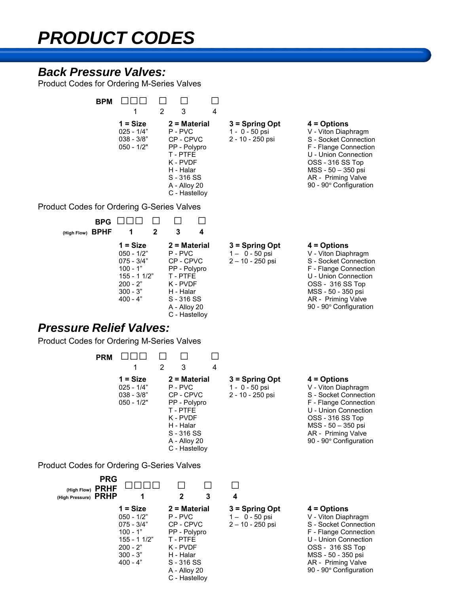## *PRODUCT CODES*

### *Back Pressure Valves:*

Product Codes for Ordering M-Series Valves

| <b>BPM</b>                                                      |                                                                                                                       |                                                                                                                                                                 |                                                          |                                                                                                                                                                                                          |
|-----------------------------------------------------------------|-----------------------------------------------------------------------------------------------------------------------|-----------------------------------------------------------------------------------------------------------------------------------------------------------------|----------------------------------------------------------|----------------------------------------------------------------------------------------------------------------------------------------------------------------------------------------------------------|
|                                                                 | $\overline{2}$<br>1<br>$1 = Size$<br>$025 - 1/4"$<br>$038 - 3/8"$<br>$050 - 1/2"$                                     | 3<br>$\overline{4}$<br>$2$ = Material<br>P-PVC<br>CP-CPVC<br>PP - Polypro<br>T - PTFE<br>K - PVDF<br>H - Halar<br>$S - 316 SS$<br>A - Alloy 20<br>C - Hastelloy | $3 =$ Spring Opt<br>1 - 0 - 50 psi<br>2 - 10 - 250 psi   | $4 =$ Options<br>V - Viton Diaphragm<br>S - Socket Connection<br>F - Flange Connection<br>U - Union Connection<br>OSS - 316 SS Top<br>MSS - 50 - 350 psi<br>AR - Priming Valve<br>90 - 90° Configuration |
| <b>Product Codes for Ordering G-Series Valves</b>               |                                                                                                                       |                                                                                                                                                                 |                                                          |                                                                                                                                                                                                          |
| <b>BPG</b>                                                      | $\mathbf{2}$                                                                                                          | $\mathbf{3}$<br>4                                                                                                                                               |                                                          |                                                                                                                                                                                                          |
| (High Flow) BPHF                                                | 1<br>$1 = Size$<br>$050 - 1/2"$<br>$075 - 3/4"$<br>$100 - 1"$<br>155 - 1 1/2"<br>$200 - 2"$<br>$300 - 3"$<br>400 - 4" | $2 = Material$<br>P-PVC<br>CP-CPVC<br>PP - Polypro<br>T - PTFE<br>K - PVDF<br>H - Halar<br>S - 316 SS<br>A - Alloy 20<br>C - Hastelloy                          | $3 =$ Spring Opt<br>$1 - 0 - 50$ psi<br>2-10-250 psi     | $4 =$ Options<br>V - Viton Diaphragm<br>S - Socket Connection<br>F - Flange Connection<br>U - Union Connection<br>OSS - 316 SS Top<br>MSS - 50 - 350 psi<br>AR - Priming Valve<br>90 - 90° Configuration |
| <b>Pressure Relief Valves:</b>                                  |                                                                                                                       |                                                                                                                                                                 |                                                          |                                                                                                                                                                                                          |
| <b>Product Codes for Ordering M-Series Valves</b><br><b>PRM</b> | 2                                                                                                                     | 3<br>4                                                                                                                                                          |                                                          |                                                                                                                                                                                                          |
|                                                                 | $1 = Size$<br>$025 - 1/4"$<br>$038 - 3/8"$<br>050 - 1/2"                                                              | $2 = Material$<br>P - PVC<br>CP-CPVC<br>PP - Polypro<br>T - PTFE<br>K - PVDF<br>H - Halar<br>S - 316 SS<br>A - Alloy 20<br>C - Hastelloy                        | $3 =$ Spring Opt<br>1 - 0 - 50 psi<br>2 - 10 - 250 psi   | $4 =$ Options<br>V - Viton Diaphragm<br>S - Socket Connection<br>F - Flange Connection<br>U - Union Connection<br>OSS - 316 SS Top<br>MSS - 50 - 350 psi<br>AR - Priming Valve<br>90 - 90° Configuration |
| <b>Product Codes for Ordering G-Series Valves</b>               |                                                                                                                       |                                                                                                                                                                 |                                                          |                                                                                                                                                                                                          |
| <b>PRG</b><br>(High Flow) PRHF<br>(High Pressure) PRHP          | 1                                                                                                                     | $\mathbf 2$<br>3                                                                                                                                                | $\mathsf{L}$<br>4                                        |                                                                                                                                                                                                          |
|                                                                 | $1 = Size$<br>$050 - 1/2"$<br>$075 - 3/4"$<br>$100 - 1"$<br>$155 - 11/2"$<br>$200 - 2"$<br>$300 - 3"$<br>$400 - 4"$   | $2 = Material$<br>P-PVC<br>CP - CPVC<br>PP - Polypro<br>T-PTFE<br>K - PVDF<br>H - Halar<br>S - 316 SS                                                           | $3 =$ Spring Opt<br>$1 - 0 - 50$ psi<br>2 - 10 - 250 psi | $4 =$ Options<br>V - Viton Diaphragm<br>S - Socket Connection<br>F - Flange Connection<br>U - Union Connection<br>OSS - 316 SS Top<br>MSS - 50 - 350 psi<br>AR - Priming Valve                           |

A - Alloy 20 C - Hastelloy 90 - 90**°** Configuration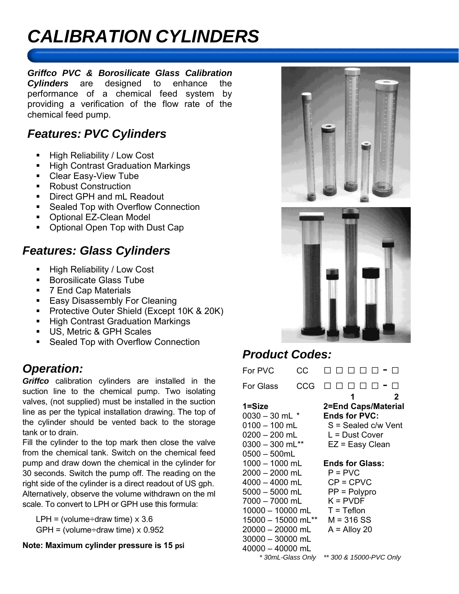## *CALIBRATION CYLINDERS*

*Griffco PVC & Borosilicate Glass Calibration Cylinders* are designed to enhance the performance of a chemical feed system by providing a verification of the flow rate of the chemical feed pump.

### *Features: PVC Cylinders*

- **High Reliability / Low Cost**
- **High Contrast Graduation Markings**
- **Clear Easy-View Tube**
- Robust Construction
- Direct GPH and mL Readout
- Sealed Top with Overflow Connection
- Optional EZ-Clean Model
- Optional Open Top with Dust Cap

### *Features: Glass Cylinders*

- **High Reliability / Low Cost**
- Borosilicate Glass Tube
- 7 End Cap Materials
- **Easy Disassembly For Cleaning**
- Protective Outer Shield (Except 10K & 20K)
- **High Contrast Graduation Markings**
- US. Metric & GPH Scales
- **Sealed Top with Overflow Connection**

### *Operation:*

*Griffco* calibration cylinders are installed in the suction line to the chemical pump. Two isolating valves, (not supplied) must be installed in the suction line as per the typical installation drawing. The top of the cylinder should be vented back to the storage tank or to drain.

Fill the cylinder to the top mark then close the valve from the chemical tank. Switch on the chemical feed pump and draw down the chemical in the cylinder for 30 seconds. Switch the pump off. The reading on the right side of the cylinder is a direct readout of US gph. Alternatively, observe the volume withdrawn on the ml scale. To convert to LPH or GPH use this formula:

LPH = (volume÷draw time)  $\times$  3.6 GPH = (volume÷draw time)  $\times$  0.952

#### **Note: Maximum cylinder pressure is 15 psi**





### *Product Codes:*

| For PVC            | CС  |                         |  |  |
|--------------------|-----|-------------------------|--|--|
| <b>For Glass</b>   | CCG |                         |  |  |
|                    |     | 2<br>1                  |  |  |
| 1=Size             |     | 2=End Caps/Material     |  |  |
| $0030 - 30$ mL $*$ |     | <b>Ends for PVC:</b>    |  |  |
| $0100 - 100$ mL    |     | S = Sealed c/w Vent     |  |  |
| $0200 - 200$ mL    |     | L = Dust Cover          |  |  |
| $0300 - 300$ mL**  |     | EZ = Easy Clean         |  |  |
| $0500 - 500$ mL    |     |                         |  |  |
| 1000 – 1000 mL     |     | <b>Ends for Glass:</b>  |  |  |
| 2000 - 2000 mL     |     | $P = PVC$               |  |  |
| 4000 - 4000 mL     |     | $CP = CPVC$             |  |  |
| $5000 - 5000$ mL   |     | $PP = Polypro$          |  |  |
| 7000 - 7000 mL     |     | $K = PVDF$              |  |  |
| 10000 - 10000 mL   |     | $T = Teflon$            |  |  |
| 15000 - 15000 mL** |     | M = 316 SS              |  |  |
| 20000 - 20000 mL   |     | $A =$ Alloy 20          |  |  |
| 30000 - 30000 mL   |     |                         |  |  |
| 40000 - 40000 mL   |     |                         |  |  |
| *30mL-Glass Only   |     | ** 300 & 15000-PVC Only |  |  |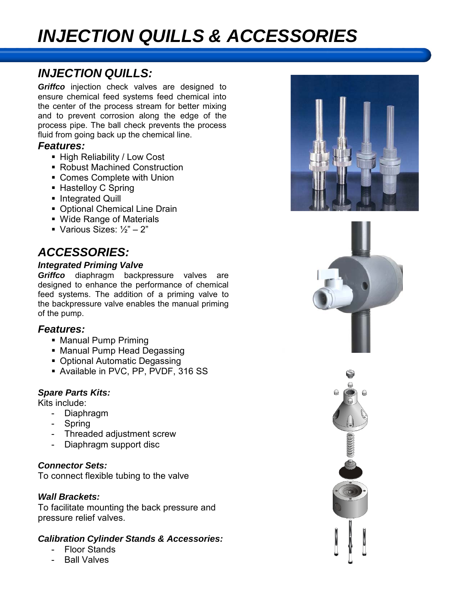## *INJECTION QUILLS & ACCESSORIES*

### *INJECTION QUILLS:*

*Griffco* injection check valves are designed to ensure chemical feed systems feed chemical into the center of the process stream for better mixing and to prevent corrosion along the edge of the process pipe. The ball check prevents the process fluid from going back up the chemical line.

#### *Features:*

- High Reliability / Low Cost
- Robust Machined Construction
- Comes Complete with Union
- Hastelloy C Spring
- **Integrated Quill**
- Optional Chemical Line Drain
- Wide Range of Materials
- Various Sizes:  $\frac{1}{2}$ " 2"

### *ACCESSORIES:*

#### *Integrated Priming Valve*

*Griffco* diaphragm backpressure valves are designed to enhance the performance of chemical feed systems. The addition of a priming valve to the backpressure valve enables the manual priming of the pump.

#### *Features:*

- Manual Pump Priming
- Manual Pump Head Degassing
- Optional Automatic Degassing
- Available in PVC, PP, PVDF, 316 SS

#### *Spare Parts Kits:*

Kits include:

- Diaphragm
- Spring
- Threaded adjustment screw
- Diaphragm support disc

#### *Connector Sets:*

To connect flexible tubing to the valve

#### *Wall Brackets:*

To facilitate mounting the back pressure and pressure relief valves.

#### *Calibration Cylinder Stands & Accessories:*

- Floor Stands
- **Ball Valves**